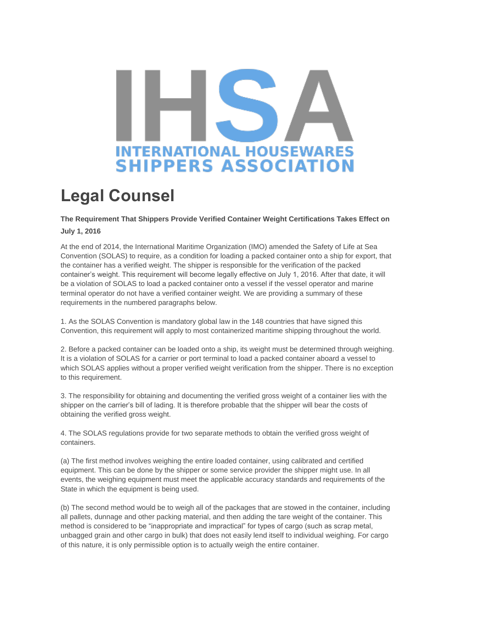## **INTERNATIONAL HOUSEWARES SHIPPERS ASSOCIATION**

## **Legal Counsel**

## **The Requirement That Shippers Provide Verified Container Weight Certifications Takes Effect on July 1, 2016**

At the end of 2014, the International Maritime Organization (IMO) amended the Safety of Life at Sea Convention (SOLAS) to require, as a condition for loading a packed container onto a ship for export, that the container has a verified weight. The shipper is responsible for the verification of the packed container's weight. This requirement will become legally effective on July 1, 2016. After that date, it will be a violation of SOLAS to load a packed container onto a vessel if the vessel operator and marine terminal operator do not have a verified container weight. We are providing a summary of these requirements in the numbered paragraphs below.

1. As the SOLAS Convention is mandatory global law in the 148 countries that have signed this Convention, this requirement will apply to most containerized maritime shipping throughout the world.

2. Before a packed container can be loaded onto a ship, its weight must be determined through weighing. It is a violation of SOLAS for a carrier or port terminal to load a packed container aboard a vessel to which SOLAS applies without a proper verified weight verification from the shipper. There is no exception to this requirement.

3. The responsibility for obtaining and documenting the verified gross weight of a container lies with the shipper on the carrier's bill of lading. It is therefore probable that the shipper will bear the costs of obtaining the verified gross weight.

4. The SOLAS regulations provide for two separate methods to obtain the verified gross weight of containers.

(a) The first method involves weighing the entire loaded container, using calibrated and certified equipment. This can be done by the shipper or some service provider the shipper might use. In all events, the weighing equipment must meet the applicable accuracy standards and requirements of the State in which the equipment is being used.

(b) The second method would be to weigh all of the packages that are stowed in the container, including all pallets, dunnage and other packing material, and then adding the tare weight of the container. This method is considered to be "inappropriate and impractical" for types of cargo (such as scrap metal, unbagged grain and other cargo in bulk) that does not easily lend itself to individual weighing. For cargo of this nature, it is only permissible option is to actually weigh the entire container.